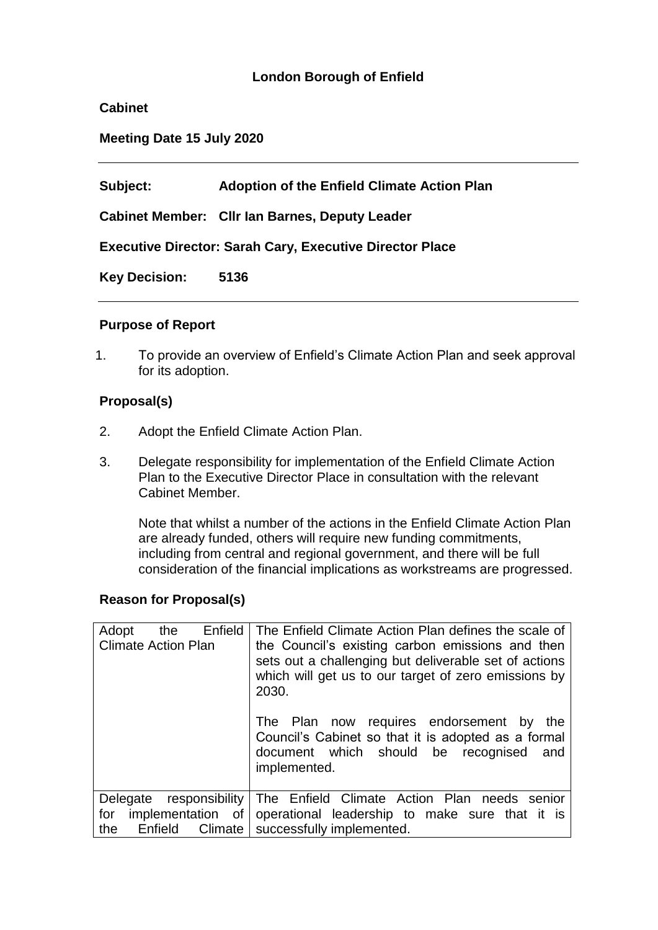# **London Borough of Enfield**

### **Cabinet**

**Meeting Date 15 July 2020**

**Subject: Adoption of the Enfield Climate Action Plan** 

**Cabinet Member: Cllr Ian Barnes, Deputy Leader**

**Executive Director: Sarah Cary, Executive Director Place**

**Key Decision: 5136**

#### **Purpose of Report**

1. To provide an overview of Enfield's Climate Action Plan and seek approval for its adoption.

### **Proposal(s)**

- 2. Adopt the Enfield Climate Action Plan.
- 3. Delegate responsibility for implementation of the Enfield Climate Action Plan to the Executive Director Place in consultation with the relevant Cabinet Member.

Note that whilst a number of the actions in the Enfield Climate Action Plan are already funded, others will require new funding commitments, including from central and regional government, and there will be full consideration of the financial implications as workstreams are progressed.

### **Reason for Proposal(s)**

| Enfield<br>Adopt<br>the<br><b>Climate Action Plan</b> | The Enfield Climate Action Plan defines the scale of<br>the Council's existing carbon emissions and then<br>sets out a challenging but deliverable set of actions<br>which will get us to our target of zero emissions by<br>2030.<br>The Plan now requires endorsement by<br>the<br>Council's Cabinet so that it is adopted as a formal<br>document which should be recognised<br>and<br>implemented. |
|-------------------------------------------------------|--------------------------------------------------------------------------------------------------------------------------------------------------------------------------------------------------------------------------------------------------------------------------------------------------------------------------------------------------------------------------------------------------------|
| for<br>the                                            | Delegate responsibility   The Enfield Climate Action Plan needs senior<br>implementation of operational leadership to make sure that it is<br>Enfield Climate   successfully implemented.                                                                                                                                                                                                              |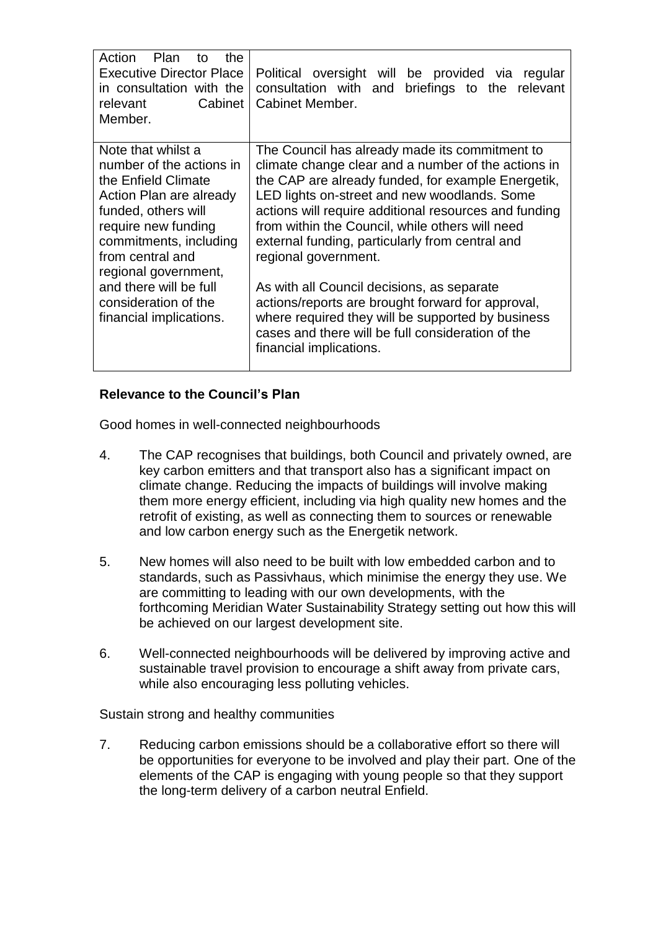| Action<br>Plan<br>the<br>to<br><b>Executive Director Place</b><br>in consultation with the<br>Cabinet<br>relevant<br>Member.                                                                                                                                                                      | Political oversight will be provided via regular<br>consultation with and<br>briefings to the relevant<br>Cabinet Member.                                                                                                                                                                                                                                                                                                                                                                                                                                                                                                                  |
|---------------------------------------------------------------------------------------------------------------------------------------------------------------------------------------------------------------------------------------------------------------------------------------------------|--------------------------------------------------------------------------------------------------------------------------------------------------------------------------------------------------------------------------------------------------------------------------------------------------------------------------------------------------------------------------------------------------------------------------------------------------------------------------------------------------------------------------------------------------------------------------------------------------------------------------------------------|
| Note that whilst a<br>number of the actions in<br>the Enfield Climate<br>Action Plan are already<br>funded, others will<br>require new funding<br>commitments, including<br>from central and<br>regional government,<br>and there will be full<br>consideration of the<br>financial implications. | The Council has already made its commitment to<br>climate change clear and a number of the actions in<br>the CAP are already funded, for example Energetik,<br>LED lights on-street and new woodlands. Some<br>actions will require additional resources and funding<br>from within the Council, while others will need<br>external funding, particularly from central and<br>regional government.<br>As with all Council decisions, as separate<br>actions/reports are brought forward for approval,<br>where required they will be supported by business<br>cases and there will be full consideration of the<br>financial implications. |

## **Relevance to the Council's Plan**

Good homes in well-connected neighbourhoods

- 4. The CAP recognises that buildings, both Council and privately owned, are key carbon emitters and that transport also has a significant impact on climate change. Reducing the impacts of buildings will involve making them more energy efficient, including via high quality new homes and the retrofit of existing, as well as connecting them to sources or renewable and low carbon energy such as the Energetik network.
- 5. New homes will also need to be built with low embedded carbon and to standards, such as Passivhaus, which minimise the energy they use. We are committing to leading with our own developments, with the forthcoming Meridian Water Sustainability Strategy setting out how this will be achieved on our largest development site.
- 6. Well-connected neighbourhoods will be delivered by improving active and sustainable travel provision to encourage a shift away from private cars, while also encouraging less polluting vehicles.

Sustain strong and healthy communities

7. Reducing carbon emissions should be a collaborative effort so there will be opportunities for everyone to be involved and play their part. One of the elements of the CAP is engaging with young people so that they support the long-term delivery of a carbon neutral Enfield.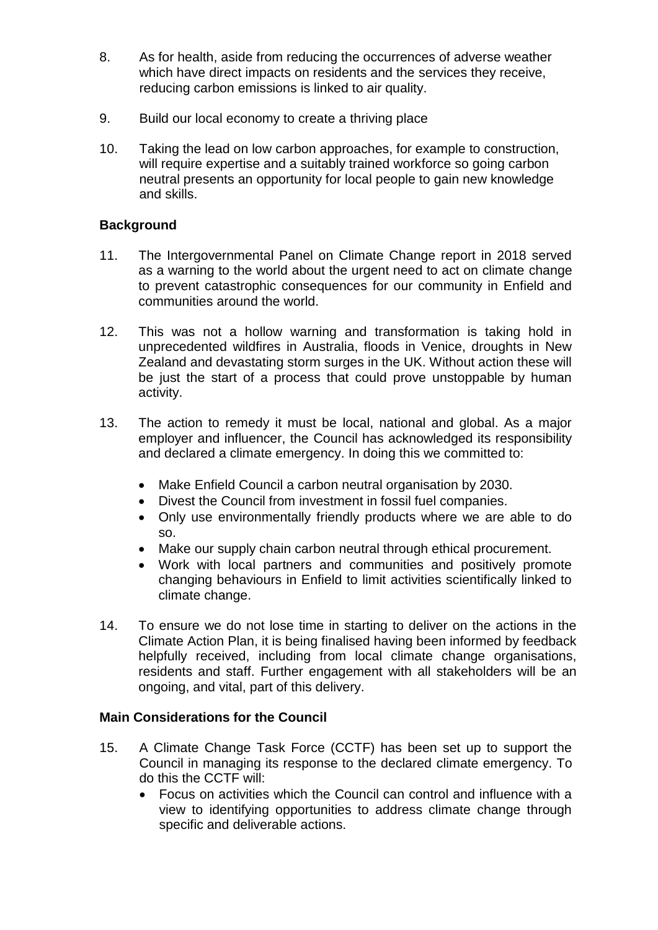- 8. As for health, aside from reducing the occurrences of adverse weather which have direct impacts on residents and the services they receive, reducing carbon emissions is linked to air quality.
- 9. Build our local economy to create a thriving place
- 10. Taking the lead on low carbon approaches, for example to construction, will require expertise and a suitably trained workforce so going carbon neutral presents an opportunity for local people to gain new knowledge and skills.

## **Background**

- 11. The Intergovernmental Panel on Climate Change report in 2018 served as a warning to the world about the urgent need to act on climate change to prevent catastrophic consequences for our community in Enfield and communities around the world.
- 12. This was not a hollow warning and transformation is taking hold in unprecedented wildfires in Australia, floods in Venice, droughts in New Zealand and devastating storm surges in the UK. Without action these will be just the start of a process that could prove unstoppable by human activity.
- 13. The action to remedy it must be local, national and global. As a major employer and influencer, the Council has acknowledged its responsibility and declared a climate emergency. In doing this we committed to:
	- Make Enfield Council a carbon neutral organisation by 2030.
	- Divest the Council from investment in fossil fuel companies.
	- Only use environmentally friendly products where we are able to do so.
	- Make our supply chain carbon neutral through ethical procurement.
	- Work with local partners and communities and positively promote changing behaviours in Enfield to limit activities scientifically linked to climate change.
- 14. To ensure we do not lose time in starting to deliver on the actions in the Climate Action Plan, it is being finalised having been informed by feedback helpfully received, including from local climate change organisations, residents and staff. Further engagement with all stakeholders will be an ongoing, and vital, part of this delivery.

### **Main Considerations for the Council**

- 15. A Climate Change Task Force (CCTF) has been set up to support the Council in managing its response to the declared climate emergency. To do this the CCTF will:
	- Focus on activities which the Council can control and influence with a view to identifying opportunities to address climate change through specific and deliverable actions.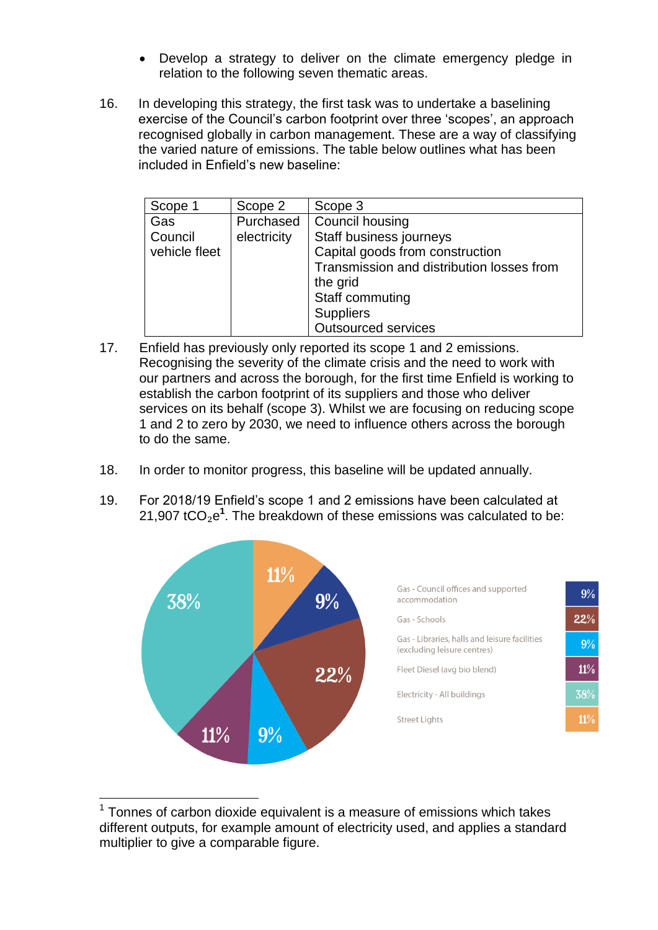- Develop a strategy to deliver on the climate emergency pledge in relation to the following seven thematic areas.
- 16. In developing this strategy, the first task was to undertake a baselining exercise of the Council's carbon footprint over three 'scopes', an approach recognised globally in carbon management. These are a way of classifying the varied nature of emissions. The table below outlines what has been included in Enfield's new baseline:

| Scope 1       | Scope 2     | Scope 3                                   |
|---------------|-------------|-------------------------------------------|
| Gas           | Purchased   | Council housing                           |
| Council       | electricity | Staff business journeys                   |
| vehicle fleet |             | Capital goods from construction           |
|               |             | Transmission and distribution losses from |
|               |             | the grid                                  |
|               |             | Staff commuting                           |
|               |             | <b>Suppliers</b>                          |
|               |             | <b>Outsourced services</b>                |

- 17. Enfield has previously only reported its scope 1 and 2 emissions. Recognising the severity of the climate crisis and the need to work with our partners and across the borough, for the first time Enfield is working to establish the carbon footprint of its suppliers and those who deliver services on its behalf (scope 3). Whilst we are focusing on reducing scope 1 and 2 to zero by 2030, we need to influence others across the borough to do the same.
- 18. In order to monitor progress, this baseline will be updated annually.
- 19. For 2018/19 Enfield's scope 1 and 2 emissions have been calculated at 21,907 tCO<sub>2</sub>e<sup>1</sup>. The breakdown of these emissions was calculated to be:



 $1$  Tonnes of carbon dioxide equivalent is a measure of emissions which takes different outputs, for example amount of electricity used, and applies a standard multiplier to give a comparable figure.

<u>.</u>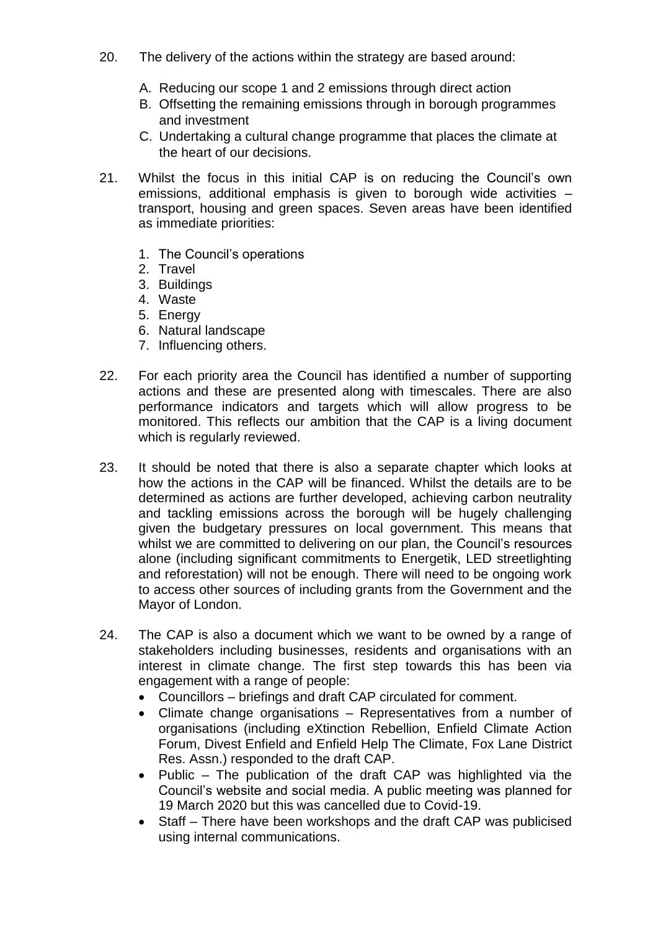- 20. The delivery of the actions within the strategy are based around:
	- A. Reducing our scope 1 and 2 emissions through direct action
	- B. Offsetting the remaining emissions through in borough programmes and investment
	- C. Undertaking a cultural change programme that places the climate at the heart of our decisions.
- 21. Whilst the focus in this initial CAP is on reducing the Council's own emissions, additional emphasis is given to borough wide activities – transport, housing and green spaces. Seven areas have been identified as immediate priorities:
	- 1. The Council's operations
	- 2. Travel
	- 3. Buildings
	- 4. Waste
	- 5. Energy
	- 6. Natural landscape
	- 7. Influencing others.
- 22. For each priority area the Council has identified a number of supporting actions and these are presented along with timescales. There are also performance indicators and targets which will allow progress to be monitored. This reflects our ambition that the CAP is a living document which is regularly reviewed.
- 23. It should be noted that there is also a separate chapter which looks at how the actions in the CAP will be financed. Whilst the details are to be determined as actions are further developed, achieving carbon neutrality and tackling emissions across the borough will be hugely challenging given the budgetary pressures on local government. This means that whilst we are committed to delivering on our plan, the Council's resources alone (including significant commitments to Energetik, LED streetlighting and reforestation) will not be enough. There will need to be ongoing work to access other sources of including grants from the Government and the Mayor of London.
- 24. The CAP is also a document which we want to be owned by a range of stakeholders including businesses, residents and organisations with an interest in climate change. The first step towards this has been via engagement with a range of people:
	- Councillors briefings and draft CAP circulated for comment.
	- Climate change organisations Representatives from a number of organisations (including eXtinction Rebellion, Enfield Climate Action Forum, Divest Enfield and Enfield Help The Climate, Fox Lane District Res. Assn.) responded to the draft CAP.
	- Public The publication of the draft CAP was highlighted via the Council's website and social media. A public meeting was planned for 19 March 2020 but this was cancelled due to Covid-19.
	- Staff There have been workshops and the draft CAP was publicised using internal communications.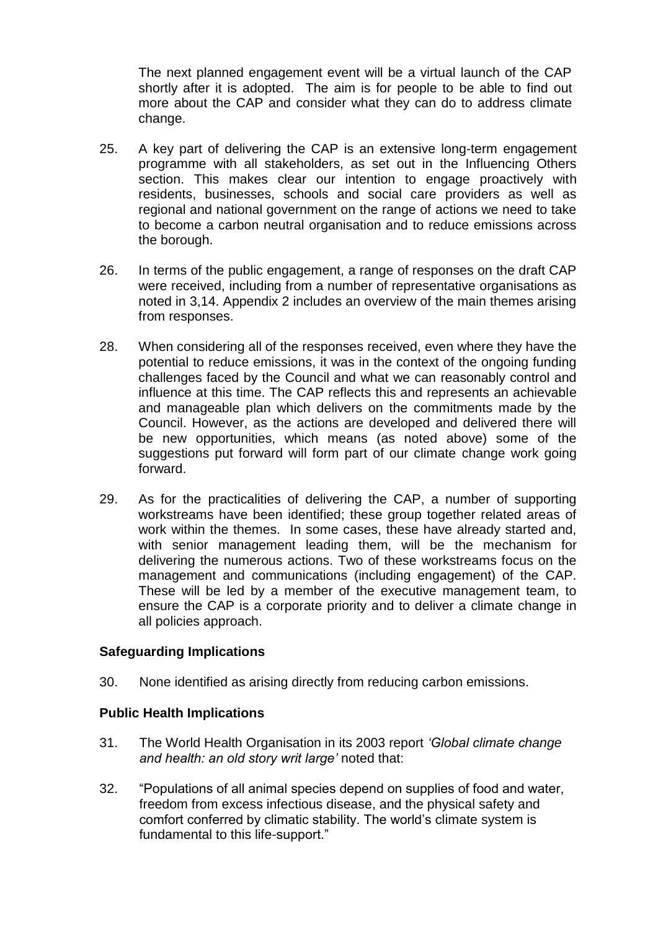The next planned engagement event will be a virtual launch of the CAP shortly after it is adopted. The aim is for people to be able to find out more about the CAP and consider what they can do to address climate change.

- 25. A key part of delivering the CAP is an extensive long-term engagement programme with all stakeholders, as set out in the Influencing Others section. This makes clear our intention to engage proactively with residents, businesses, schools and social care providers as well as regional and national government on the range of actions we need to take to become a carbon neutral organisation and to reduce emissions across the borough.
- 26. In terms of the public engagement, a range of responses on the draft CAP were received, including from a number of representative organisations as noted in 3,14. Appendix 2 includes an overview of the main themes arising from responses.
- 28. When considering all of the responses received, even where they have the potential to reduce emissions, it was in the context of the ongoing funding challenges faced by the Council and what we can reasonably control and influence at this time. The CAP reflects this and represents an achievable and manageable plan which delivers on the commitments made by the Council. However, as the actions are developed and delivered there will be new opportunities, which means (as noted above) some of the suggestions put forward will form part of our climate change work going forward.
- 29. As for the practicalities of delivering the CAP, a number of supporting workstreams have been identified; these group together related areas of work within the themes. In some cases, these have already started and, with senior management leading them, will be the mechanism for delivering the numerous actions. Two of these workstreams focus on the management and communications (including engagement) of the CAP. These will be led by a member of the executive management team, to ensure the CAP is a corporate priority and to deliver a climate change in all policies approach.

### **Safeguarding Implications**

30. None identified as arising directly from reducing carbon emissions.

### **Public Health Implications**

- 31. The World Health Organisation in its 2003 report *'Global climate change and health: an old story writ large'* noted that:
- 32. "Populations of all animal species depend on supplies of food and water, freedom from excess infectious disease, and the physical safety and comfort conferred by climatic stability. The world's climate system is fundamental to this life-support."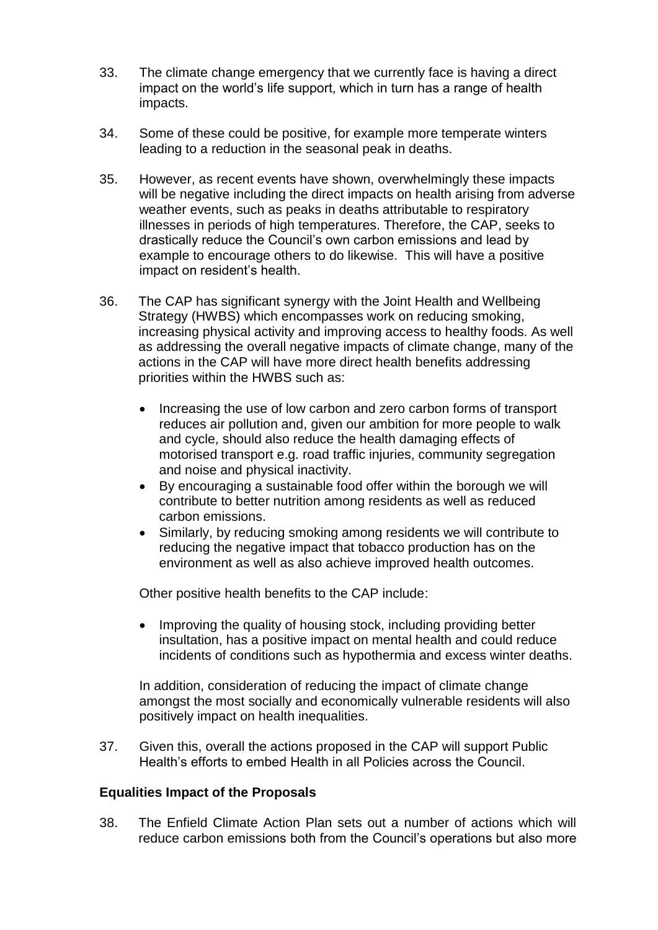- 33. The climate change emergency that we currently face is having a direct impact on the world's life support, which in turn has a range of health impacts.
- 34. Some of these could be positive, for example more temperate winters leading to a reduction in the seasonal peak in deaths.
- 35. However, as recent events have shown, overwhelmingly these impacts will be negative including the direct impacts on health arising from adverse weather events, such as peaks in deaths attributable to respiratory illnesses in periods of high temperatures. Therefore, the CAP, seeks to drastically reduce the Council's own carbon emissions and lead by example to encourage others to do likewise. This will have a positive impact on resident's health.
- 36. The CAP has significant synergy with the Joint Health and Wellbeing Strategy (HWBS) which encompasses work on reducing smoking, increasing physical activity and improving access to healthy foods. As well as addressing the overall negative impacts of climate change, many of the actions in the CAP will have more direct health benefits addressing priorities within the HWBS such as:
	- Increasing the use of low carbon and zero carbon forms of transport reduces air pollution and, given our ambition for more people to walk and cycle, should also reduce the health damaging effects of motorised transport e.g. road traffic injuries, community segregation and noise and physical inactivity.
	- By encouraging a sustainable food offer within the borough we will contribute to better nutrition among residents as well as reduced carbon emissions.
	- Similarly, by reducing smoking among residents we will contribute to reducing the negative impact that tobacco production has on the environment as well as also achieve improved health outcomes.

Other positive health benefits to the CAP include:

• Improving the quality of housing stock, including providing better insultation, has a positive impact on mental health and could reduce incidents of conditions such as hypothermia and excess winter deaths.

In addition, consideration of reducing the impact of climate change amongst the most socially and economically vulnerable residents will also positively impact on health inequalities.

37. Given this, overall the actions proposed in the CAP will support Public Health's efforts to embed Health in all Policies across the Council.

### **Equalities Impact of the Proposals**

38. The Enfield Climate Action Plan sets out a number of actions which will reduce carbon emissions both from the Council's operations but also more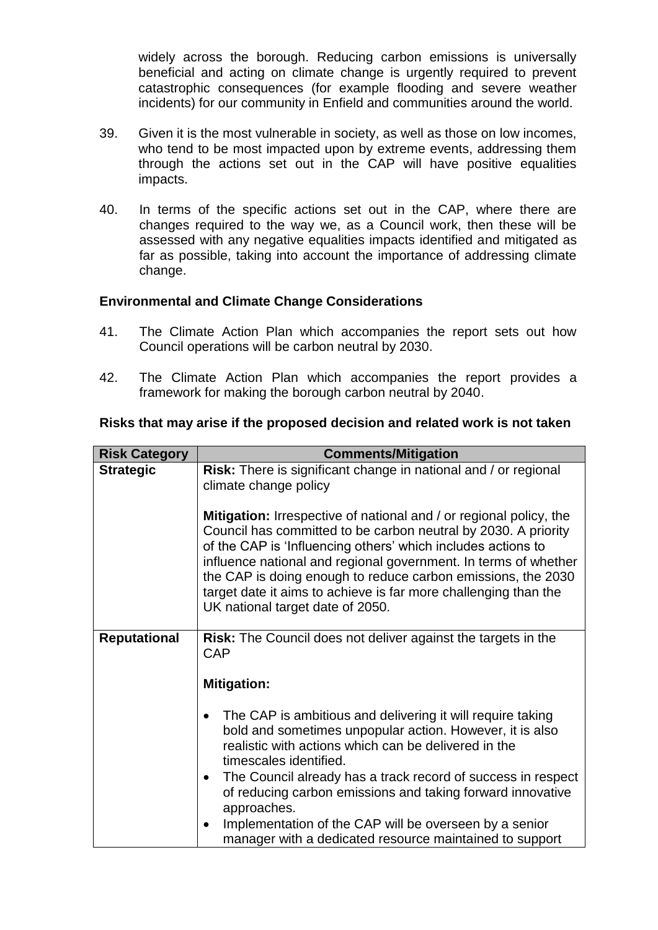widely across the borough. Reducing carbon emissions is universally beneficial and acting on climate change is urgently required to prevent catastrophic consequences (for example flooding and severe weather incidents) for our community in Enfield and communities around the world.

- 39. Given it is the most vulnerable in society, as well as those on low incomes, who tend to be most impacted upon by extreme events, addressing them through the actions set out in the CAP will have positive equalities impacts.
- 40. In terms of the specific actions set out in the CAP, where there are changes required to the way we, as a Council work, then these will be assessed with any negative equalities impacts identified and mitigated as far as possible, taking into account the importance of addressing climate change.

#### **Environmental and Climate Change Considerations**

- 41. The Climate Action Plan which accompanies the report sets out how Council operations will be carbon neutral by 2030.
- 42. The Climate Action Plan which accompanies the report provides a framework for making the borough carbon neutral by 2040.

### **Risks that may arise if the proposed decision and related work is not taken**

| <b>Risk Category</b> | <b>Comments/Mitigation</b>                                                                                                                                                                                                                                                                                                                                                                                                                            |
|----------------------|-------------------------------------------------------------------------------------------------------------------------------------------------------------------------------------------------------------------------------------------------------------------------------------------------------------------------------------------------------------------------------------------------------------------------------------------------------|
| <b>Strategic</b>     | Risk: There is significant change in national and / or regional<br>climate change policy                                                                                                                                                                                                                                                                                                                                                              |
|                      | <b>Mitigation:</b> Irrespective of national and / or regional policy, the<br>Council has committed to be carbon neutral by 2030. A priority<br>of the CAP is 'Influencing others' which includes actions to<br>influence national and regional government. In terms of whether<br>the CAP is doing enough to reduce carbon emissions, the 2030<br>target date it aims to achieve is far more challenging than the<br>UK national target date of 2050. |
| <b>Reputational</b>  | <b>Risk:</b> The Council does not deliver against the targets in the<br>CAP                                                                                                                                                                                                                                                                                                                                                                           |
|                      | <b>Mitigation:</b>                                                                                                                                                                                                                                                                                                                                                                                                                                    |
|                      | The CAP is ambitious and delivering it will require taking<br>٠<br>bold and sometimes unpopular action. However, it is also<br>realistic with actions which can be delivered in the<br>timescales identified.<br>The Council already has a track record of success in respect<br>$\bullet$<br>of reducing carbon emissions and taking forward innovative                                                                                              |
|                      | approaches.<br>Implementation of the CAP will be overseen by a senior<br>$\bullet$                                                                                                                                                                                                                                                                                                                                                                    |
|                      | manager with a dedicated resource maintained to support                                                                                                                                                                                                                                                                                                                                                                                               |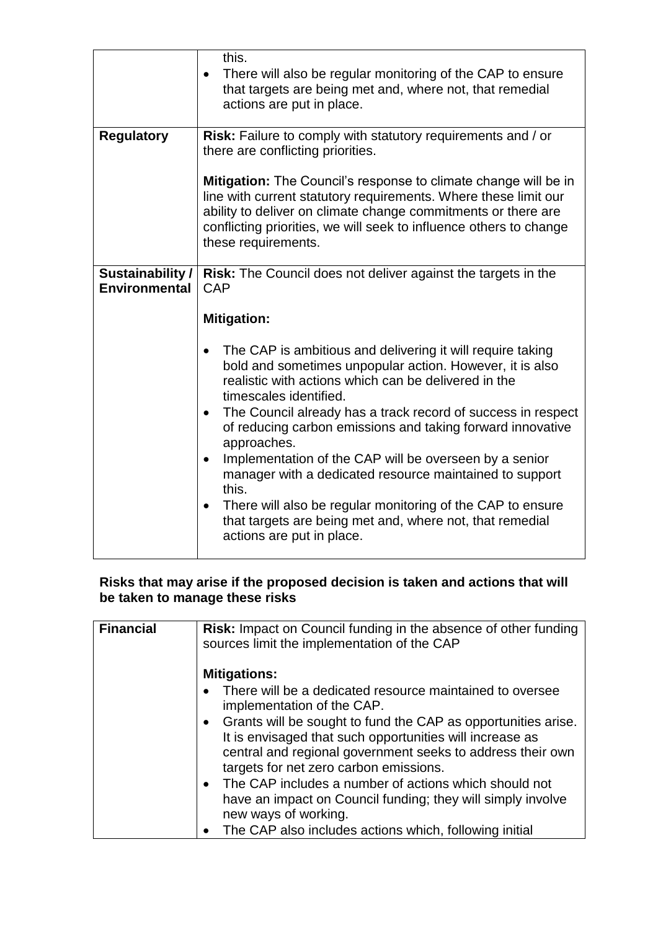|                                          | this.<br>There will also be regular monitoring of the CAP to ensure<br>$\bullet$<br>that targets are being met and, where not, that remedial<br>actions are put in place.                                                                                                                        |
|------------------------------------------|--------------------------------------------------------------------------------------------------------------------------------------------------------------------------------------------------------------------------------------------------------------------------------------------------|
| <b>Regulatory</b>                        | Risk: Failure to comply with statutory requirements and / or<br>there are conflicting priorities.                                                                                                                                                                                                |
|                                          | Mitigation: The Council's response to climate change will be in<br>line with current statutory requirements. Where these limit our<br>ability to deliver on climate change commitments or there are<br>conflicting priorities, we will seek to influence others to change<br>these requirements. |
| Sustainability /<br><b>Environmental</b> | Risk: The Council does not deliver against the targets in the<br>CAP                                                                                                                                                                                                                             |
|                                          | <b>Mitigation:</b>                                                                                                                                                                                                                                                                               |
|                                          | The CAP is ambitious and delivering it will require taking<br>$\bullet$<br>bold and sometimes unpopular action. However, it is also<br>realistic with actions which can be delivered in the<br>timescales identified.                                                                            |
|                                          | The Council already has a track record of success in respect<br>$\bullet$<br>of reducing carbon emissions and taking forward innovative<br>approaches.                                                                                                                                           |
|                                          | Implementation of the CAP will be overseen by a senior<br>٠<br>manager with a dedicated resource maintained to support<br>this.                                                                                                                                                                  |
|                                          | There will also be regular monitoring of the CAP to ensure<br>$\bullet$<br>that targets are being met and, where not, that remedial<br>actions are put in place.                                                                                                                                 |

## **Risks that may arise if the proposed decision is taken and actions that will be taken to manage these risks**

| <b>Financial</b> | <b>Risk:</b> Impact on Council funding in the absence of other funding<br>sources limit the implementation of the CAP                                                                                                               |
|------------------|-------------------------------------------------------------------------------------------------------------------------------------------------------------------------------------------------------------------------------------|
|                  | <b>Mitigations:</b>                                                                                                                                                                                                                 |
|                  | There will be a dedicated resource maintained to oversee<br>implementation of the CAP.                                                                                                                                              |
|                  | • Grants will be sought to fund the CAP as opportunities arise.<br>It is envisaged that such opportunities will increase as<br>central and regional government seeks to address their own<br>targets for net zero carbon emissions. |
|                  | • The CAP includes a number of actions which should not<br>have an impact on Council funding; they will simply involve<br>new ways of working.                                                                                      |
|                  | • The CAP also includes actions which, following initial                                                                                                                                                                            |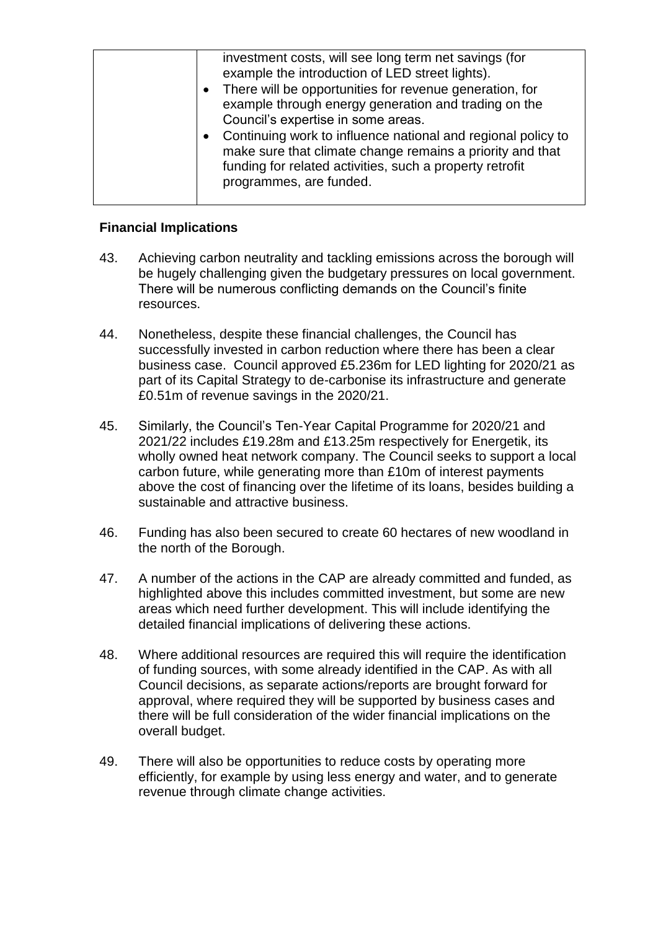| investment costs, will see long term net savings (for<br>example the introduction of LED street lights).<br>• There will be opportunities for revenue generation, for<br>example through energy generation and trading on the<br>Council's expertise in some areas.<br>• Continuing work to influence national and regional policy to<br>make sure that climate change remains a priority and that<br>funding for related activities, such a property retrofit<br>programmes, are funded. |
|-------------------------------------------------------------------------------------------------------------------------------------------------------------------------------------------------------------------------------------------------------------------------------------------------------------------------------------------------------------------------------------------------------------------------------------------------------------------------------------------|
|                                                                                                                                                                                                                                                                                                                                                                                                                                                                                           |

## **Financial Implications**

- 43. Achieving carbon neutrality and tackling emissions across the borough will be hugely challenging given the budgetary pressures on local government. There will be numerous conflicting demands on the Council's finite resources.
- 44. Nonetheless, despite these financial challenges, the Council has successfully invested in carbon reduction where there has been a clear business case. Council approved £5.236m for LED lighting for 2020/21 as part of its Capital Strategy to de-carbonise its infrastructure and generate £0.51m of revenue savings in the 2020/21.
- 45. Similarly, the Council's Ten-Year Capital Programme for 2020/21 and 2021/22 includes £19.28m and £13.25m respectively for Energetik, its wholly owned heat network company. The Council seeks to support a local carbon future, while generating more than £10m of interest payments above the cost of financing over the lifetime of its loans, besides building a sustainable and attractive business.
- 46. Funding has also been secured to create 60 hectares of new woodland in the north of the Borough.
- 47. A number of the actions in the CAP are already committed and funded, as highlighted above this includes committed investment, but some are new areas which need further development. This will include identifying the detailed financial implications of delivering these actions.
- 48. Where additional resources are required this will require the identification of funding sources, with some already identified in the CAP. As with all Council decisions, as separate actions/reports are brought forward for approval, where required they will be supported by business cases and there will be full consideration of the wider financial implications on the overall budget.
- 49. There will also be opportunities to reduce costs by operating more efficiently, for example by using less energy and water, and to generate revenue through climate change activities.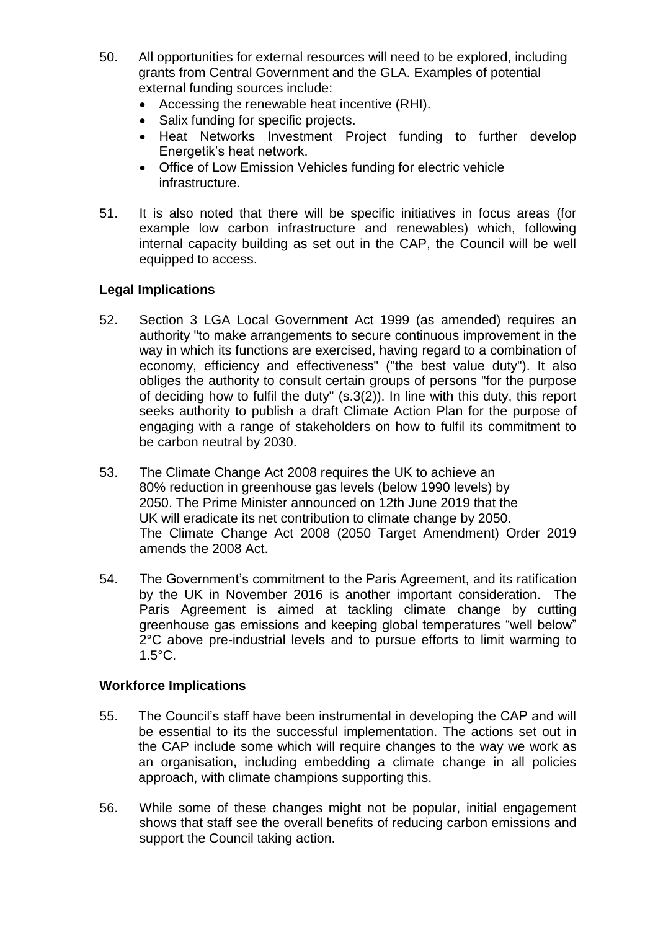- 50. All opportunities for external resources will need to be explored, including grants from Central Government and the GLA. Examples of potential external funding sources include:
	- Accessing the renewable heat incentive (RHI).
	- Salix funding for specific projects.
	- Heat Networks Investment Project funding to further develop Energetik's heat network.
	- Office of Low Emission Vehicles funding for electric vehicle infrastructure.
- 51. It is also noted that there will be specific initiatives in focus areas (for example low carbon infrastructure and renewables) which, following internal capacity building as set out in the CAP, the Council will be well equipped to access.

# **Legal Implications**

- 52. Section 3 LGA Local Government Act 1999 (as amended) requires an authority "to make arrangements to secure continuous improvement in the way in which its functions are exercised, having regard to a combination of economy, efficiency and effectiveness" ("the best value duty"). It also obliges the authority to consult certain groups of persons "for the purpose of deciding how to fulfil the duty" (s.3(2)). In line with this duty, this report seeks authority to publish a draft Climate Action Plan for the purpose of engaging with a range of stakeholders on how to fulfil its commitment to be carbon neutral by 2030.
- 53. The Climate Change Act 2008 requires the UK to achieve an 80% reduction in greenhouse gas levels (below 1990 levels) by 2050. The Prime Minister announced on 12th June 2019 that the UK will eradicate its net contribution to climate change by 2050. The Climate Change Act 2008 (2050 Target Amendment) Order 2019 amends the 2008 Act.
- 54. The Government's commitment to the Paris Agreement, and its ratification by the UK in November 2016 is another important consideration. The Paris Agreement is aimed at tackling climate change by cutting greenhouse gas emissions and keeping global temperatures "well below" 2°C above pre-industrial levels and to pursue efforts to limit warming to 1.5°C.

### **Workforce Implications**

- 55. The Council's staff have been instrumental in developing the CAP and will be essential to its the successful implementation. The actions set out in the CAP include some which will require changes to the way we work as an organisation, including embedding a climate change in all policies approach, with climate champions supporting this.
- 56. While some of these changes might not be popular, initial engagement shows that staff see the overall benefits of reducing carbon emissions and support the Council taking action.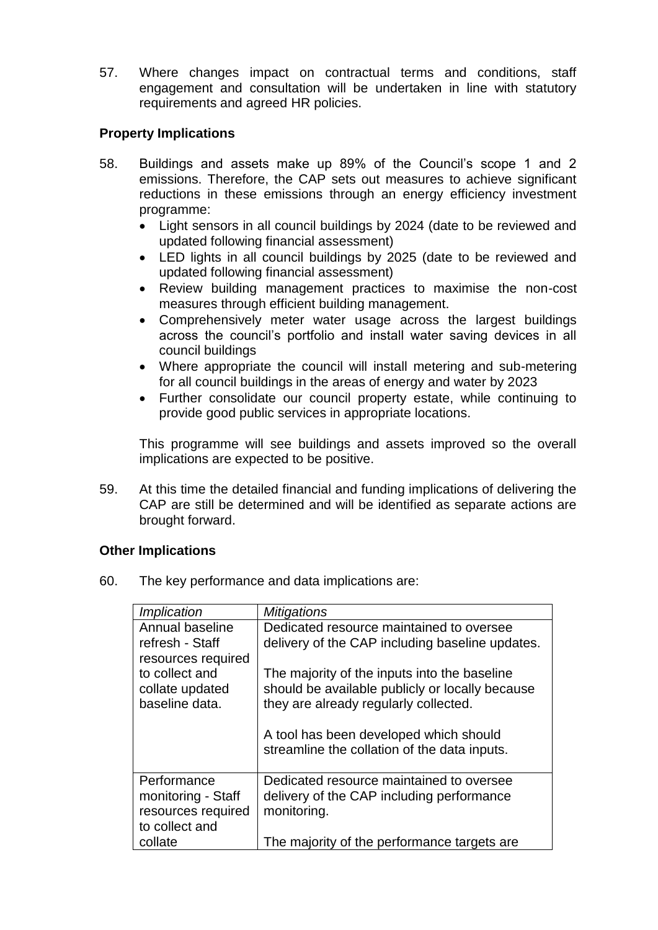57. Where changes impact on contractual terms and conditions, staff engagement and consultation will be undertaken in line with statutory requirements and agreed HR policies.

## **Property Implications**

- 58. Buildings and assets make up 89% of the Council's scope 1 and 2 emissions. Therefore, the CAP sets out measures to achieve significant reductions in these emissions through an energy efficiency investment programme:
	- Light sensors in all council buildings by 2024 (date to be reviewed and updated following financial assessment)
	- LED lights in all council buildings by 2025 (date to be reviewed and updated following financial assessment)
	- Review building management practices to maximise the non-cost measures through efficient building management.
	- Comprehensively meter water usage across the largest buildings across the council's portfolio and install water saving devices in all council buildings
	- Where appropriate the council will install metering and sub-metering for all council buildings in the areas of energy and water by 2023
	- Further consolidate our council property estate, while continuing to provide good public services in appropriate locations.

This programme will see buildings and assets improved so the overall implications are expected to be positive.

59. At this time the detailed financial and funding implications of delivering the CAP are still be determined and will be identified as separate actions are brought forward.

### **Other Implications**

60. The key performance and data implications are:

| Implication        | <b>Mitigations</b>                              |
|--------------------|-------------------------------------------------|
| Annual baseline    | Dedicated resource maintained to oversee        |
| refresh - Staff    | delivery of the CAP including baseline updates. |
| resources required |                                                 |
| to collect and     | The majority of the inputs into the baseline    |
| collate updated    | should be available publicly or locally because |
| baseline data.     | they are already regularly collected.           |
|                    |                                                 |
|                    | A tool has been developed which should          |
|                    | streamline the collation of the data inputs.    |
|                    |                                                 |
| Performance        | Dedicated resource maintained to oversee        |
| monitoring - Staff | delivery of the CAP including performance       |
| resources required | monitoring.                                     |
| to collect and     |                                                 |
| collate            | The majority of the performance targets are     |